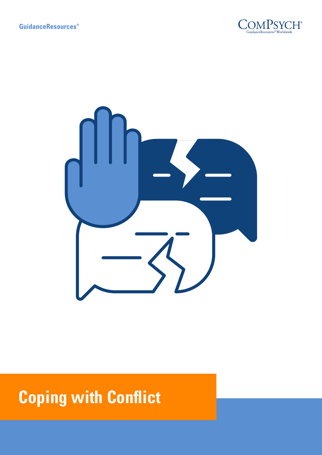



# **Coping with Conflict**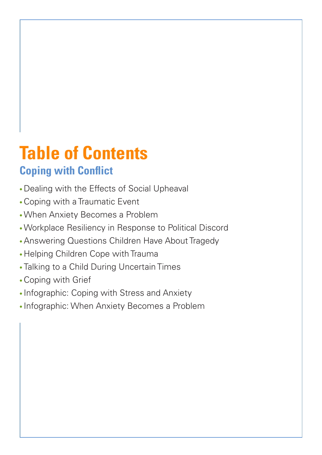# **Table of Contents Coping with Conflict**

- Dealing with the Effects of Social Upheaval
- •Coping with a Traumatic Event
- •When Anxiety Becomes a Problem
- •Workplace Resiliency in Response to Political Discord
- •Answering Questions Children Have About Tragedy
- Helping Children Cope with Trauma
- Talking to a Child During Uncertain Times
- •Coping with Grief
- Infographic: Coping with Stress and Anxiety
- Infographic: When Anxiety Becomes a Problem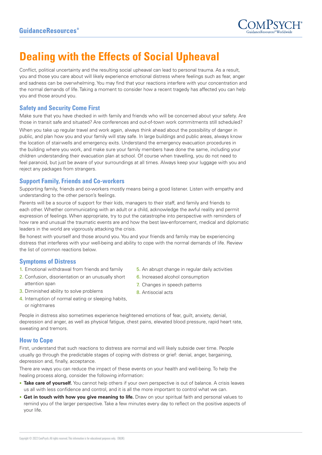

# **Dealing with the Effects of Social Upheaval**

Conflict, political uncertainty and the resulting social upheaval can lead to personal trauma. As a result, you and those you care about will likely experience emotional distress where feelings such as fear, anger and sadness can be overwhelming. You may find that your reactions interfere with your concentration and the normal demands of life. Taking a moment to consider how a recent tragedy has affected you can help you and those around you.

#### **Safety and Security Come First**

Make sure that you have checked in with family and friends who will be concerned about your safety. Are those in transit safe and situated? Are conferences and out-of-town work commitments still scheduled?

When you take up regular travel and work again, always think ahead about the possibility of danger in public, and plan how you and your family will stay safe. In large buildings and public areas, always know the location of stairwells and emergency exits. Understand the emergency evacuation procedures in the building where you work, and make sure your family members have done the same, including your children understanding their evacuation plan at school. Of course when travelling, you do not need to feel paranoid, but just be aware of your surroundings at all times. Always keep your luggage with you and reject any packages from strangers.

#### **Support Family, Friends and Co-workers**

Supporting family, friends and co-workers mostly means being a good listener. Listen with empathy and understanding to the other person's feelings.

Parents will be a source of support for their kids, managers to their staff, and family and friends to each other. Whether communicating with an adult or a child, acknowledge the awful reality and permit expression of feelings. When appropriate, try to put the catastrophe into perspective with reminders of how rare and unusual the traumatic events are and how the best law-enforcement, medical and diplomatic leaders in the world are vigorously attacking the crisis.

Be honest with yourself and those around you. You and your friends and family may be experiencing distress that interferes with your well-being and ability to cope with the normal demands of life. Review the list of common reactions below.

#### **Symptoms of Distress**

- 1. Emotional withdrawal from friends and family
- 2. Confusion, disorientation or an unusually short attention span
- 3. Diminished ability to solve problems
- 4. Interruption of normal eating or sleeping habits, or nightmares
- 5. An abrupt change in regular daily activities
- 6. Increased alcohol consumption
- 7. Changes in speech patterns
- 8. Antisocial acts

People in distress also sometimes experience heightened emotions of fear, guilt, anxiety, denial, depression and anger, as well as physical fatigue, chest pains, elevated blood pressure, rapid heart rate, sweating and tremors.

## **How to Cope**

First, understand that such reactions to distress are normal and will likely subside over time. People usually go through the predictable stages of coping with distress or grief: denial, anger, bargaining, depression and, finally, acceptance.

There are ways you can reduce the impact of these events on your health and well-being. To help the healing process along, consider the following information:

- **Take care of yourself.** You cannot help others if your own perspective is out of balance. A crisis leaves us all with less confidence and control, and it is all the more important to control what we can.
- **Get in touch with how you give meaning to life.** Draw on your spiritual faith and personal values to remind you of the larger perspective. Take a few minutes every day to reflect on the positive aspects of your life.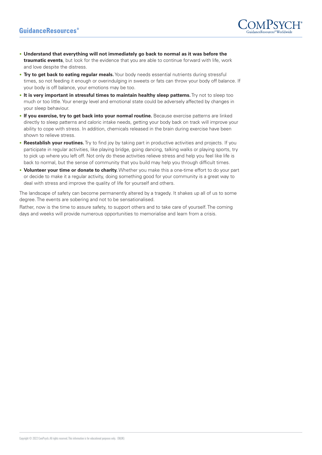

- **Understand that everything will not immediately go back to normal as it was before the traumatic events**, but look for the evidence that you are able to continue forward with life, work and love despite the distress.
- **Try to get back to eating regular meals.** Your body needs essential nutrients during stressful times, so not feeding it enough or overindulging in sweets or fats can throw your body off balance. If your body is off balance, your emotions may be too.
- **It is very important in stressful times to maintain healthy sleep patterns.** Try not to sleep too much or too little. Your energy level and emotional state could be adversely affected by changes in your sleep behaviour.
- **If you exercise, try to get back into your normal routine.** Because exercise patterns are linked directly to sleep patterns and caloric intake needs, getting your body back on track will improve your ability to cope with stress. In addition, chemicals released in the brain during exercise have been shown to relieve stress.
- **Reestablish your routines.** Try to find joy by taking part in productive activities and projects. If you participate in regular activities, like playing bridge, going dancing, talking walks or playing sports, try to pick up where you left off. Not only do these activities relieve stress and help you feel like life is back to normal, but the sense of community that you build may help you through difficult times.
- **Volunteer your time or donate to charity.** Whether you make this a one-time effort to do your part or decide to make it a regular activity, doing something good for your community is a great way to deal with stress and improve the quality of life for yourself and others.

The landscape of safety can become permanently altered by a tragedy. It shakes up all of us to some degree. The events are sobering and not to be sensationalised.

Rather, now is the time to assure safety, to support others and to take care of yourself. The coming days and weeks will provide numerous opportunities to memorialise and learn from a crisis.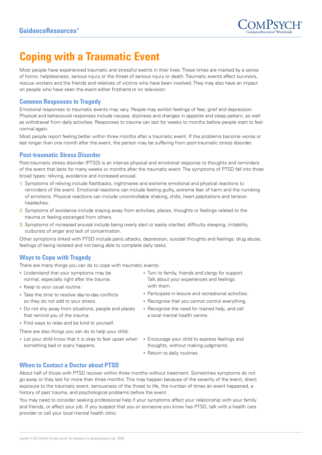

# **Coping with a Traumatic Event**

Most people have experienced traumatic and stressful events in their lives. These times are marked by a sense of horror, helplessness, serious injury or the threat of serious injury or death. Traumatic events affect survivors, rescue workers and the friends and relatives of victims who have been involved. They may also have an impact on people who have seen the event either firsthand or on television.

#### **Common Responses to Tragedy**

Emotional responses to traumatic events may vary. People may exhibit feelings of fear, grief and depression. Physical and behavioural responses include nausea, dizziness and changes in appetite and sleep pattern, as well as withdrawal from daily activities. Responses to trauma can last for weeks to months before people start to feel normal again.

Most people report feeling better within three months after a traumatic event. If the problems become worse or last longer than one month after the event, the person may be suffering from post-traumatic stress disorder.

### **Post-traumatic Stress Disorder**

Post-traumatic stress disorder (PTSD) is an intense physical and emotional response to thoughts and reminders of the event that lasts for many weeks or months after the traumatic event. The symptoms of PTSD fall into three broad types: reliving, avoidance and increased arousal.

- 1. Symptoms of reliving include flashbacks, nightmares and extreme emotional and physical reactions to reminders of the event. Emotional reactions can include feeling guilty, extreme fear of harm and the numbing of emotions. Physical reactions can include uncontrollable shaking, chills, heart palpitations and tension headaches.
- 2. Symptoms of avoidance include staying away from activities, places, thoughts or feelings related to the trauma or feeling estranged from others.
- 3. Symptoms of increased arousal include being overly alert or easily startled, difficulty sleeping, irritability, outbursts of anger and lack of concentration.

Other symptoms linked with PTSD include panic attacks, depression, suicidal thoughts and feelings, drug abuse, feelings of being isolated and not being able to complete daily tasks.

## **Ways to Cope with Tragedy**

There are many things you can do to cope with traumatic events:

- Understand that your symptoms may be normal, especially right after the trauma.
- Keep to your usual routine.
- Take the time to resolve day-to-day conflicts so they do not add to your stress.
- Do not shy away from situations, people and places that remind you of the trauma.
- Find ways to relax and be kind to yourself.
- There are also things you can do to help your child:
- Let your child know that it is okay to feel upset when Encourage your child to express feelings and something bad or scary happens.
- Turn to family, friends and clergy for support. Talk about your experiences and feelings with them.
- Participate in leisure and recreational activities.
- Recognise that you cannot control everything.
- Recognise the need for trained help, and call a local mental health centre.
- thoughts, without making judgments.
- Return to daily routines.

#### **When to Contact a Doctor about PTSD**

About half of those with PTSD recover within three months without treatment. Sometimes symptoms do not go away or they last for more than three months. This may happen because of the severity of the event, direct exposure to the traumatic event, seriousness of the threat to life, the number of times an event happened, a history of past trauma, and psychological problems before the event.

You may need to consider seeking professional help if your symptoms affect your relationship with your family and friends, or affect your job. If you suspect that you or someone you know has PTSD, talk with a health care provider or call your local mental health clinic.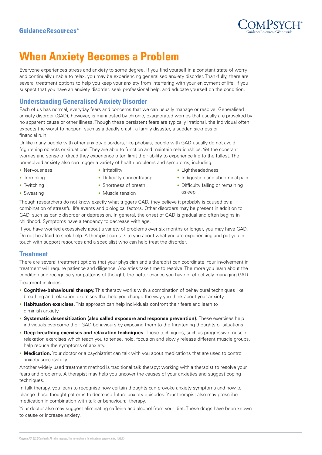

# **When Anxiety Becomes a Problem**

Everyone experiences stress and anxiety to some degree. If you find yourself in a constant state of worry and continually unable to relax, you may be experiencing generalised anxiety disorder. Thankfully, there are several treatment options to help you keep your anxiety from interfering with your enjoyment of life. If you suspect that you have an anxiety disorder, seek professional help, and educate yourself on the condition.

# **Understanding Generalised Anxiety Disorder**

Each of us has normal, everyday fears and concerns that we can usually manage or resolve. Generalised anxiety disorder (GAD), however, is manifested by chronic, exaggerated worries that usually are provoked by no apparent cause or other illness. Though these persistent fears are typically irrational, the individual often expects the worst to happen, such as a deadly crash, a family disaster, a sudden sickness or financial ruin.

Unlike many people with other anxiety disorders, like phobias, people with GAD usually do not avoid frightening objects or situations. They are able to function and maintain relationships. Yet the constant worries and sense of dread they experience often limit their ability to experience life to the fullest. The unresolved anxiety also can trigger a variety of health problems and symptoms, including:

- Nervousness
- Trembling
- Twitching • Sweating
- Irritability
- Difficulty concentrating • Shortness of breath
- Muscle tension
- Lightheadedness
- Indigestion and abdominal pain
- Difficulty falling or remaining asleep

Though researchers do not know exactly what triggers GAD, they believe it probably is caused by a combination of stressful life events and biological factors. Other disorders may be present in addition to GAD, such as panic disorder or depression. In general, the onset of GAD is gradual and often begins in childhood. Symptoms have a tendency to decrease with age.

If you have worried excessively about a variety of problems over six months or longer, you may have GAD. Do not be afraid to seek help. A therapist can talk to you about what you are experiencing and put you in touch with support resources and a specialist who can help treat the disorder.

## **Treatment**

There are several treatment options that your physician and a therapist can coordinate. Your involvement in treatment will require patience and diligence. Anxieties take time to resolve. The more you learn about the condition and recognise your patterns of thought, the better chance you have of effectively managing GAD. Treatment includes:

- **Cognitive-behavioural therapy.** This therapy works with a combination of behavioural techniques like breathing and relaxation exercises that help you change the way you think about your anxiety.
- **Habituation exercises.** This approach can help individuals confront their fears and learn to diminish anxiety.
- **Systematic desensitization (also called exposure and response prevention).** These exercises help individuals overcome their GAD behaviours by exposing them to the frightening thoughts or situations.
- **Deep-breathing exercises and relaxation techniques.** These techniques, such as progressive muscle relaxation exercises which teach you to tense, hold, focus on and slowly release different muscle groups, help reduce the symptoms of anxiety.
- **Medication.** Your doctor or a psychiatrist can talk with you about medications that are used to control anxiety successfully.

Another widely used treatment method is traditional talk therapy: working with a therapist to resolve your fears and problems. A therapist may help you uncover the causes of your anxieties and suggest coping techniques.

In talk therapy, you learn to recognise how certain thoughts can provoke anxiety symptoms and how to change those thought patterns to decrease future anxiety episodes. Your therapist also may prescribe medication in combination with talk or behavioural therapy.

Your doctor also may suggest eliminating caffeine and alcohol from your diet. These drugs have been known to cause or increase anxiety.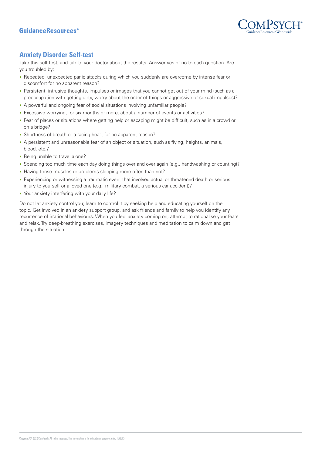

# **Anxiety Disorder Self-test**

Take this self-test, and talk to your doctor about the results. Answer yes or no to each question. Are you troubled by:

- Repeated, unexpected panic attacks during which you suddenly are overcome by intense fear or discomfort for no apparent reason?
- Persistent, intrusive thoughts, impulses or images that you cannot get out of your mind (such as a preoccupation with getting dirty, worry about the order of things or aggressive or sexual impulses)?
- A powerful and ongoing fear of social situations involving unfamiliar people?
- Excessive worrying, for six months or more, about a number of events or activities?
- Fear of places or situations where getting help or escaping might be difficult, such as in a crowd or on a bridge?
- Shortness of breath or a racing heart for no apparent reason?
- A persistent and unreasonable fear of an object or situation, such as flying, heights, animals, blood, etc.?
- Being unable to travel alone?
- Spending too much time each day doing things over and over again (e.g., handwashing or counting)?
- Having tense muscles or problems sleeping more often than not?
- Experiencing or witnessing a traumatic event that involved actual or threatened death or serious injury to yourself or a loved one (e.g., military combat, a serious car accident)?
- Your anxiety interfering with your daily life?

Do not let anxiety control you; learn to control it by seeking help and educating yourself on the topic. Get involved in an anxiety support group, and ask friends and family to help you identify any recurrence of irrational behaviours. When you feel anxiety coming on, attempt to rationalise your fears and relax. Try deep-breathing exercises, imagery techniques and meditation to calm down and get through the situation.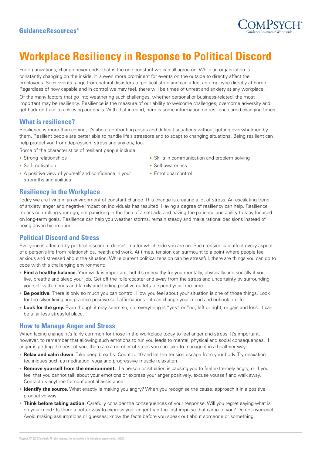

# **Workplace Resiliency in Response to Political Discord**

For organizations, change never ends; that is the one constant we can all agree on. While an organization is constantly changing on the inside, it is even more prominent for events on the outside to directly affect the employees. Such events range from natural disasters to political strife and can affect an employee directly at home. Regardless of how capable and in control we may feel, there will be times of unrest and anxiety at any workplace. Of the many factors that go into weathering such challenges, whether personal or business-related, the most important may be resiliency. Resilience is the measure of our ability to welcome challenges, overcome adversity and get back on track to achieving our goals. With that in mind, here is some information on resilience amid changing times.

## **What is resilience?**

Resilience is more than coping; it's about confronting crises and difficult situations without getting overwhelmed by them. Resilient people are better able to handle life's stressors and to adapt to changing situations. Being resilient can help protect you from depression, stress and anxiety, too.

Some of the characteristics of resilient people include:

- Strong relationships
- Self-motivation
- A positive view of yourself and confidence in your strengths and abilities
- Skills in communication and problem solving
- Self-awareness
- Emotional control

### **Resiliency in the Workplace**

Today we are living in an environment of constant change. This change is creating a lot of stress. An escalating trend of anxiety, anger and negative impact on individuals has resulted. Having a degree of resiliency can help. Resilience means controlling your ego, not panicking in the face of a setback, and having the patience and ability to stay focused on long-term goals. Resilience can help you weather storms, remain steady and make rational decisions instead of being driven by emotion.

## **Political Discord and Stress**

Everyone is affected by political discord, it doesn't matter which side you are on. Such tension can affect every aspect of a person's life from relationships, health and work. At times, tension can surmount to a point where people feel anxious and stressed about the situation. While current political tension can be stressful, there are things you can do to cope with this challenging environment:

- **Find a healthy balance.** Your work is important, but it's unhealthy for you mentally, physically and socially if you live, breathe and sleep your job. Get off the rollercoaster and away from the stress and uncertainty by surrounding yourself with friends and family and finding positive outlets to spend your free time.
- **Be positive.** There is only so much you can control. How you feel about your situation is one of those things. Look for the silver lining and practice positive self-affirmations—it can change your mood and outlook on life.
- **Look for the grey.** Even though it may seem so, not everything is "yes" or "no", left or right, or gain and loss. It can be a far less stressful place.

## **How to Manage Anger and Stress**

When facing change, it's fairly common for those in the workplace today to feel anger and stress. It's important, however, to remember that allowing such emotions to run you leads to mental, physical and social consequences. If anger is getting the best of you, there are a number of steps you can take to manage it in a healthier way:

- **Relax and calm down.** Take deep breaths. Count to 10 and let the tension escape from your body. Try relaxation techniques such as meditation, yoga and progressive muscle relaxation.
- **Remove yourself from the environment.** If a person or situation is causing you to feel extremely angry, or if you feel that you cannot talk about your emotions or express your anger positively, excuse yourself and walk away. Contact us anytime for confidential assistance.
- **Identify the source.** What exactly is making you angry? When you recognise the cause, approach it in a positive, productive way.
- **Think before taking action.** Carefully consider the consequences of your response. Will you regret saying what is on your mind? Is there a better way to express your anger than the first impulse that came to you? Do not overreact. Avoid making assumptions or guesses; know the facts before you speak out about someone or something.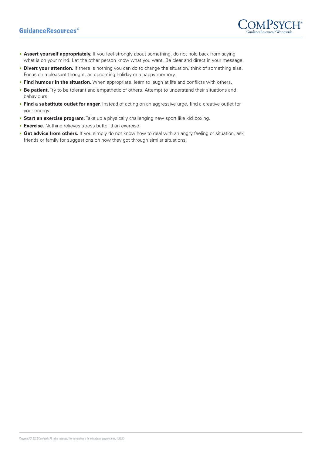# **GuidanceResources**<sup>®</sup>



- **Assert yourself appropriately.** If you feel strongly about something, do not hold back from saying what is on your mind. Let the other person know what you want. Be clear and direct in your message.
- **Divert your attention.** If there is nothing you can do to change the situation, think of something else. Focus on a pleasant thought, an upcoming holiday or a happy memory.
- **Find humour in the situation.** When appropriate, learn to laugh at life and conflicts with others.
- **Be patient.** Try to be tolerant and empathetic of others. Attempt to understand their situations and behaviours.
- **Find a substitute outlet for anger.** Instead of acting on an aggressive urge, find a creative outlet for your energy.
- **Start an exercise program.** Take up a physically challenging new sport like kickboxing.
- **Exercise.** Nothing relieves stress better than exercise.
- **Get advice from others.** If you simply do not know how to deal with an angry feeling or situation, ask friends or family for suggestions on how they got through similar situations.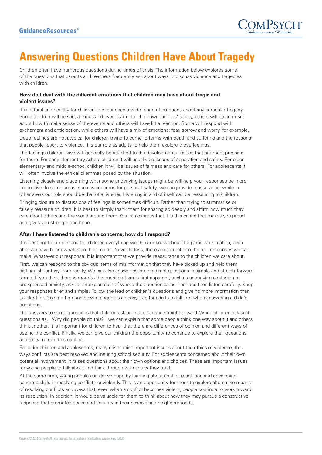

# **Answering Questions Children Have About Tragedy**

Children often have numerous questions during times of crisis. The information below explores some of the questions that parents and teachers frequently ask about ways to discuss violence and tragedies with children.

#### **How do I deal with the different emotions that children may have about tragic and violent issues?**

It is natural and healthy for children to experience a wide range of emotions about any particular tragedy. Some children will be sad, anxious and even fearful for their own families' safety, others will be confused about how to make sense of the events and others will have little reaction. Some will respond with excitement and anticipation, while others will have a mix of emotions: fear, sorrow and worry, for example.

Deep feelings are not atypical for children trying to come to terms with death and suffering and the reasons that people resort to violence. It is our role as adults to help them explore these feelings.

The feelings children have will generally be attached to the developmental issues that are most pressing for them. For early elementary-school children it will usually be issues of separation and safety. For older elementary- and middle-school children it will be issues of fairness and care for others. For adolescents it will often involve the ethical dilemmas posed by the situation.

Listening closely and discerning what some underlying issues might be will help your responses be more productive. In some areas, such as concerns for personal safety, we can provide reassurance, while in other areas our role should be that of a listener. Listening in and of itself can be reassuring to children.

Bringing closure to discussions of feelings is sometimes difficult. Rather than trying to summarise or falsely reassure children, it is best to simply thank them for sharing so deeply and affirm how much they care about others and the world around them. You can express that it is this caring that makes you proud and gives you strength and hope.

#### **After I have listened to children's concerns, how do I respond?**

It is best not to jump in and tell children everything we think or know about the particular situation, even after we have heard what is on their minds. Nevertheless, there are a number of helpful responses we can make. Whatever our response, it is important that we provide reassurance to the children we care about. First, we can respond to the obvious items of misinformation that they have picked up and help them distinguish fantasy from reality. We can also answer children's direct questions in simple and straightforward terms. If you think there is more to the question than is first apparent, such as underlying confusion or unexpressed anxiety, ask for an explanation of where the question came from and then listen carefully. Keep your responses brief and simple. Follow the lead of children's questions and give no more information than is asked for. Going off on one's own tangent is an easy trap for adults to fall into when answering a child's questions.

The answers to some questions that children ask are not clear and straightforward. When children ask such questions as, "Why did people do this?" we can explain that some people think one way about it and others think another. It is important for children to hear that there are differences of opinion and different ways of seeing the conflict. Finally, we can give our children the opportunity to continue to explore their questions and to learn from this conflict.

For older children and adolescents, many crises raise important issues about the ethics of violence, the ways conflicts are best resolved and insuring school security. For adolescents concerned about their own potential involvement, it raises questions about their own options and choices. These are important issues for young people to talk about and think through with adults they trust.

At the same time, young people can derive hope by learning about conflict resolution and developing concrete skills in resolving conflict nonviolently. This is an opportunity for them to explore alternative means of resolving conflicts and ways that, even when a conflict becomes violent, people continue to work toward its resolution. In addition, it would be valuable for them to think about how they may pursue a constructive response that promotes peace and security in their schools and neighbourhoods.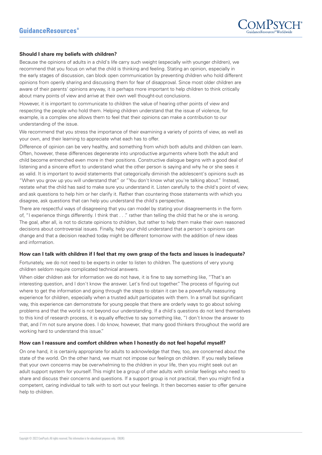

#### **Should I share my beliefs with children?**

Because the opinions of adults in a child's life carry such weight (especially with younger children), we recommend that you focus on what the child is thinking and feeling. Stating an opinion, especially in the early stages of discussion, can block open communication by preventing children who hold different opinions from openly sharing and discussing them for fear of disapproval. Since most older children are aware of their parents' opinions anyway, it is perhaps more important to help children to think critically about many points of view and arrive at their own well thought-out conclusions.

However, it is important to communicate to children the value of hearing other points of view and respecting the people who hold them. Helping children understand that the issue of violence, for example, is a complex one allows them to feel that their opinions can make a contribution to our understanding of the issue.

We recommend that you stress the importance of their examining a variety of points of view, as well as your own, and their learning to appreciate what each has to offer.

Difference of opinion can be very healthy, and something from which both adults and children can learn. Often, however, these differences degenerate into unproductive arguments where both the adult and child become entrenched even more in their positions. Constructive dialogue begins with a good deal of listening and a sincere effort to understand what the other person is saying and why he or she sees it as valid. It is important to avoid statements that categorically diminish the adolescent's opinions such as "When you grow up you will understand that" or "You don't know what you're talking about." Instead, restate what the child has said to make sure you understand it. Listen carefully to the child's point of view, and ask questions to help him or her clarify it. Rather than countering those statements with which you disagree, ask questions that can help you understand the child's perspective.

There are respectful ways of disagreeing that you can model by stating your disagreements in the form of, "I experience things differently. I think that . . ." rather than telling the child that he or she is wrong. The goal, after all, is not to dictate opinions to children, but rather to help them make their own reasoned decisions about controversial issues. Finally, help your child understand that a person's opinions can change and that a decision reached today might be different tomorrow with the addition of new ideas and information.

#### **How can I talk with children if I feel that my own grasp of the facts and issues is inadequate?**

Fortunately, we do not need to be experts in order to listen to children. The questions of very young children seldom require complicated technical answers.

When older children ask for information we do not have, it is fine to say something like, "That's an interesting question, and I don't know the answer. Let's find out together." The process of figuring out where to get the information and going through the steps to obtain it can be a powerfully reassuring experience for children, especially when a trusted adult participates with them. In a small but significant way, this experience can demonstrate for young people that there are orderly ways to go about solving problems and that the world is not beyond our understanding. If a child's questions do not lend themselves to this kind of research process, it is equally effective to say something like, "I don't know the answer to that, and I'm not sure anyone does. I do know, however, that many good thinkers throughout the world are working hard to understand this issue."

#### **How can I reassure and comfort children when I honestly do not feel hopeful myself?**

On one hand, it is certainly appropriate for adults to acknowledge that they, too, are concerned about the state of the world. On the other hand, we must not impose our feelings on children. If you really believe that your own concerns may be overwhelming to the children in your life, then you might seek out an adult support system for yourself. This might be a group of other adults with similar feelings who need to share and discuss their concerns and questions. If a support group is not practical, then you might find a competent, caring individual to talk with to sort out your feelings. It then becomes easier to offer genuine help to children.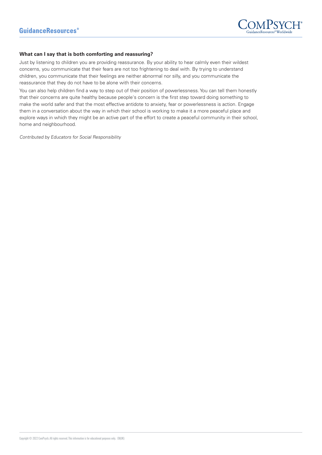

#### **What can I say that is both comforting and reassuring?**

Just by listening to children you are providing reassurance. By your ability to hear calmly even their wildest concerns, you communicate that their fears are not too frightening to deal with. By trying to understand children, you communicate that their feelings are neither abnormal nor silly, and you communicate the reassurance that they do not have to be alone with their concerns.

You can also help children find a way to step out of their position of powerlessness. You can tell them honestly that their concerns are quite healthy because people's concern is the first step toward doing something to make the world safer and that the most effective antidote to anxiety, fear or powerlessness is action. Engage them in a conversation about the way in which their school is working to make it a more peaceful place and explore ways in which they might be an active part of the effort to create a peaceful community in their school, home and neighbourhood.

Contributed by Educators for Social Responsibility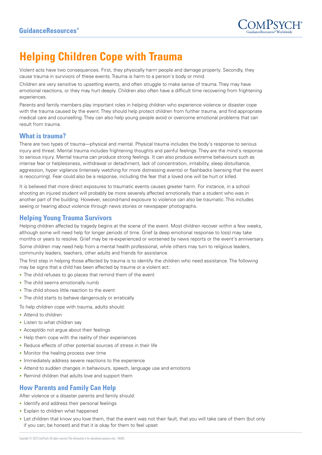

# **Helping Children Cope with Trauma**

Violent acts have two consequences. First, they physically harm people and damage property. Secondly, they cause trauma in survivors of these events. Trauma is harm to a person's body or mind.

Children are very sensitive to upsetting events, and often struggle to make sense of trauma. They may have emotional reactions, or they may hurt deeply. Children also often have a difficult time recovering from frightening experiences.

Parents and family members play important roles in helping children who experience violence or disaster cope with the trauma caused by the event. They should help protect children from further trauma, and find appropriate medical care and counselling. They can also help young people avoid or overcome emotional problems that can result from trauma.

## **What is trauma?**

There are two types of trauma—physical and mental. Physical trauma includes the body's response to serious injury and threat. Mental trauma includes frightening thoughts and painful feelings. They are the mind's response to serious injury. Mental trauma can produce strong feelings. It can also produce extreme behaviours such as intense fear or helplessness, withdrawal or detachment, lack of concentration, irritability, sleep disturbance, aggression, hyper vigilance (intensely watching for more distressing events) or flashbacks (sensing that the event is reoccurring). Fear could also be a response, including the fear that a loved one will be hurt or killed.

It is believed that more direct exposures to traumatic events causes greater harm. For instance, in a school shooting an injured student will probably be more severely affected emotionally than a student who was in another part of the building. However, second-hand exposure to violence can also be traumatic. This includes seeing or hearing about violence through news stories or newspaper photographs.

## **Helping Young Trauma Survivors**

Helping children affected by tragedy begins at the scene of the event. Most children recover within a few weeks, although some will need help for longer periods of time. Grief (a deep emotional response to loss) may take months or years to resolve. Grief may be re-experienced or worsened by news reports or the event's anniversary. Some children may need help from a mental health professional, while others may turn to religious leaders, community leaders, teachers, other adults and friends for assistance.

The first step in helping those affected by trauma is to identify the children who need assistance. The following may be signs that a child has been affected by trauma or a violent act:

- The child refuses to go places that remind them of the event
- The child seems emotionally numb
- The child shows little reaction to the event
- The child starts to behave dangerously or erratically

To help children cope with trauma, adults should:

- Attend to children
- Listen to what children say
- Accept/do not argue about their feelings
- Help them cope with the reality of their experiences
- Reduce effects of other potential sources of stress in their life
- Monitor the healing process over time
- Immediately address severe reactions to the experience
- Attend to sudden changes in behaviours, speech, language use and emotions
- Remind children that adults love and support them

## **How Parents and Family Can Help**

After violence or a disaster parents and family should:

- Identify and address their personal feelings
- Explain to children what happened
- Let children that know you love them, that the event was not their fault, that you will take care of them (but only if you can; be honest) and that it is okay for them to feel upset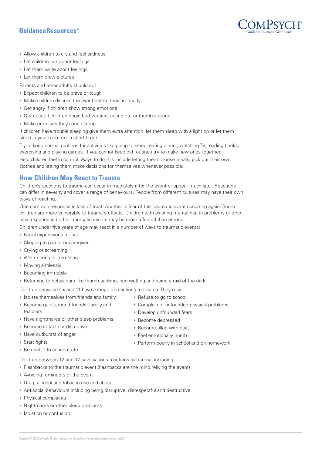# GuidanceResources®



- Allow children to cry and feel sadness
- Let children talk about feelings
- Let them write about feelings
- Let them draw pictures

Parents and other adults should not:

- Expect children to be brave or tough
- Make children discuss the event before they are ready
- Get angry if children show strong emotions
- Get upset if children begin bed-wetting, acting out or thumb-sucking
- Make promises they cannot keep

If children have trouble sleeping give them extra attention, let them sleep with a light on or let them sleep in your room (for a short time).

Try to keep normal routines for activities like going to sleep, eating dinner, watching TV, reading books, exercising and playing games. If you cannot keep old routines try to make new ones together.

Help children feel in control. Ways to do this include letting them choose meals, pick out their own clothes and letting them make decisions for themselves whenever possible.

# **How Children May React to Trauma**

Children's reactions to trauma can occur immediately after the event or appear much later. Reactions can differ in severity and cover a range of behaviours. People from different cultures may have their own ways of reacting.

One common response is loss of trust. Another is fear of the traumatic event occurring again. Some children are more vulnerable to trauma's effects. Children with existing mental health problems or who have experienced other traumatic events may be more affected than others.

Children under five years of age may react in a number of ways to traumatic events:

- Facial expressions of fear
- Clinging to parent or caregiver
- Crying or screaming
- Whimpering or trembling
- Moving aimlessly
- Becoming immobile
- Returning to behaviours like thumb-sucking, bed-wetting and being afraid of the dark

Children between six and 11 have a range of reactions to trauma. They may:

- Isolate themselves from friends and family
- Become quiet around friends, family and teachers
- Have nightmares or other sleep problems
- Become irritable or disruptive
- Have outbursts of anger
- Start fights
- Be unable to concentrate

Children between 12 and 17 have various reactions to trauma, including:

- Flashbacks to the traumatic event (flashbacks are the mind reliving the event)
- Avoiding reminders of the event
- Drug, alcohol and tobacco use and abuse
- Antisocial behaviours including being disruptive, disrespectful and destructive
- Physical complaints
- Nightmares or other sleep problems
- Isolation or confusion
- Refuse to go to school
- Complain of unfounded physical problems
- Develop unfounded fears
- Become depressed
- Become filled with quilt
- Feel emotionally numb
- Perform poorly in school and on homework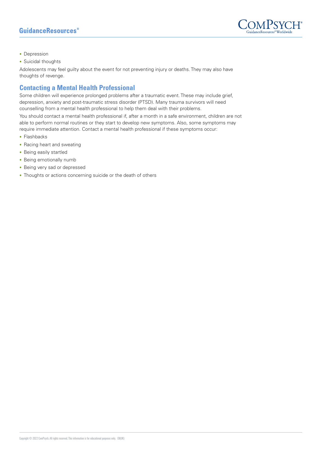# **GuidanceResources**<sup>®</sup>



- Depression
- Suicidal thoughts

Adolescents may feel guilty about the event for not preventing injury or deaths. They may also have thoughts of revenge.

## **Contacting a Mental Health Professional**

Some children will experience prolonged problems after a traumatic event. These may include grief, depression, anxiety and post-traumatic stress disorder (PTSD). Many trauma survivors will need counselling from a mental health professional to help them deal with their problems.

You should contact a mental health professional if, after a month in a safe environment, children are not able to perform normal routines or they start to develop new symptoms. Also, some symptoms may require immediate attention. Contact a mental health professional if these symptoms occur:

- Flashbacks
- Racing heart and sweating
- Being easily startled
- Being emotionally numb
- Being very sad or depressed
- Thoughts or actions concerning suicide or the death of others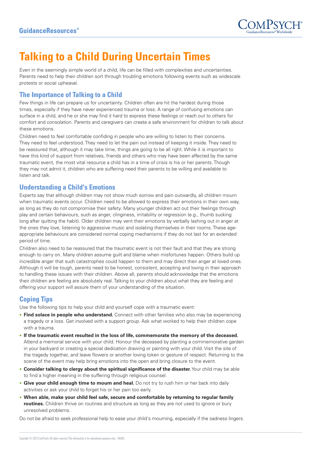

# **Talking to a Child During Uncertain Times**

Even in the seemingly simple world of a child, life can be filled with complexities and uncertainties. Parents need to help their children sort through troubling emotions following events such as widescale protests or social upheaval.

# **The Importance of Talking to a Child**

Few things in life can prepare us for uncertainty. Children often are hit the hardest during those times, especially if they have never experienced trauma or loss. A range of confusing emotions can surface in a child, and he or she may find it hard to express these feelings or reach out to others for comfort and consolation. Parents and caregivers can create a safe environment for children to talk about these emotions.

Children need to feel comfortable confiding in people who are willing to listen to their concerns. They need to feel understood. They need to let the pain out instead of keeping it inside. They need to be reassured that, although it may take time, things are going to be all right. While it is important to have this kind of support from relatives, friends and others who may have been affected by the same traumatic event, the most vital resource a child has in a time of crisis is his or her parents. Though they may not admit it, children who are suffering need their parents to be willing and available to listen and talk.

## **Understanding a Child's Emotions**

Experts say that although children may not show much sorrow and pain outwardly, all children mourn when traumatic events occur. Children need to be allowed to express their emotions in their own way, as long as they do not compromise their safety. Many younger children act out their feelings through play and certain behaviours, such as anger, clinginess, irritability or regression (e.g., thumb sucking long after quitting the habit). Older children may vent their emotions by verbally lashing out in anger at the ones they love, listening to aggressive music and isolating themselves in their rooms. These ageappropriate behaviours are considered normal coping mechanisms if they do not last for an extended period of time.

Children also need to be reassured that the traumatic event is not their fault and that they are strong enough to carry on. Many children assume guilt and blame when misfortunes happen. Others build up incredible anger that such catastrophes could happen to them and may direct their anger at loved ones. Although it will be tough, parents need to be honest, consistent, accepting and loving in their approach to handling these issues with their children. Above all, parents should acknowledge that the emotions their children are feeling are absolutely real. Talking to your children about what they are feeling and offering your support will assure them of your understanding of the situation.

# **Coping Tips**

Use the following tips to help your child and yourself cope with a traumatic event:

- **Find solace in people who understand.** Connect with other families who also may be experiencing a tragedy or a loss. Get involved with a support group. Ask what worked to help their children cope with a trauma.
- **If the traumatic event resulted in the loss of life, commemorate the memory of the deceased.** Attend a memorial service with your child. Honour the deceased by planting a commemorative garden in your backyard or creating a special dedication drawing or painting with your child. Visit the site of the tragedy together, and leave flowers or another loving token or gesture of respect. Returning to the scene of the event may help bring emotions into the open and bring closure to the event.
- **Consider talking to clergy about the spiritual significance of the disaster.** Your child may be able to find a higher meaning in the suffering through religious counsel.
- **Give your child enough time to mourn and heal.** Do not try to rush him or her back into daily activities or ask your child to forget his or her pain too early.
- **When able, make your child feel safe, secure and comfortable by returning to regular family routines.** Children thrive on routines and structure as long as they are not used to ignore or bury unresolved problems.

Do not be afraid to seek professional help to ease your child's mourning, especially if the sadness lingers.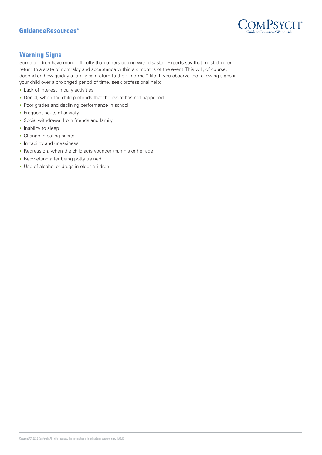

# **Warning Signs**

Some children have more difficulty than others coping with disaster. Experts say that most children return to a state of normalcy and acceptance within six months of the event. This will, of course, depend on how quickly a family can return to their "normal" life. If you observe the following signs in your child over a prolonged period of time, seek professional help:

- Lack of interest in daily activities
- Denial, when the child pretends that the event has not happened
- Poor grades and declining performance in school
- Frequent bouts of anxiety
- Social withdrawal from friends and family
- Inability to sleep
- Change in eating habits
- Irritability and uneasiness
- Regression, when the child acts younger than his or her age
- Bedwetting after being potty trained
- Use of alcohol or drugs in older children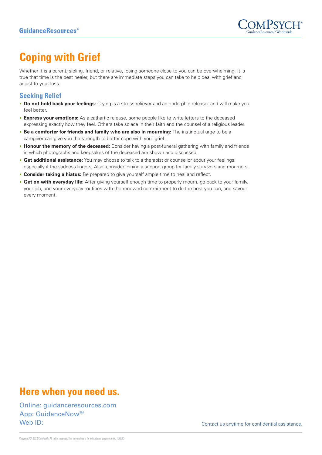

# **Coping with Grief**

Whether it is a parent, sibling, friend, or relative, losing someone close to you can be overwhelming. It is true that time is the best healer, but there are immediate steps you can take to help deal with grief and adjust to your loss.

## **Seeking Relief**

- **Do not hold back your feelings:** Crying is a stress reliever and an endorphin releaser and will make you feel better.
- **Express your emotions:** As a cathartic release, some people like to write letters to the deceased expressing exactly how they feel. Others take solace in their faith and the counsel of a religious leader.
- **Be a comforter for friends and family who are also in mourning:** The instinctual urge to be a caregiver can give you the strength to better cope with your grief.
- **Honour the memory of the deceased:** Consider having a post-funeral gathering with family and friends in which photographs and keepsakes of the deceased are shown and discussed.
- **Get additional assistance:** You may choose to talk to a therapist or counsellor about your feelings, especially if the sadness lingers. Also, consider joining a support group for family survivors and mourners.
- **Consider taking a hiatus:** Be prepared to give yourself ample time to heal and reflect.
- **Get on with everyday life:** After giving yourself enough time to properly mourn, go back to your family, your job, and your everyday routines with the renewed commitment to do the best you can, and savour every moment.

# **Here when you need us.**

Online: guidanceresources.com App: GuidanceNow<sup>SM</sup> Web ID: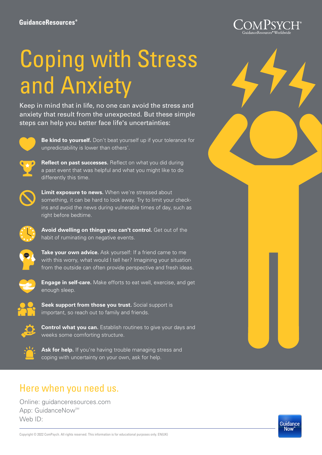# Coping with Stress and Anxiety

Keep in mind that in life, no one can avoid the stress and anxiety that result from the unexpected. But these simple steps can help you better face life's uncertainties:



**Be kind to yourself.** Don't beat yourself up if your tolerance for unpredictability is lower than others'.



**Reflect on past successes.** Reflect on what you did during a past event that was helpful and what you might like to do differently this time.



**Limit exposure to news.** When we're stressed about something, it can be hard to look away. Try to limit your checkins and avoid the news during vulnerable times of day, such as right before bedtime.



**Avoid dwelling on things you can't control.** Get out of the habit of ruminating on negative events.



**Take your own advice.** Ask yourself: If a friend came to me with this worry, what would I tell her? Imagining your situation from the outside can often provide perspective and fresh ideas.



**Engage in self-care.** Make efforts to eat well, exercise, and get enough sleep.



**Seek support from those you trust.** Social support is important, so reach out to family and friends.



**Control what you can.** Establish routines to give your days and weeks some comforting structure.



Ask for help. If you're having trouble managing stress and coping with uncertainty on your own, ask for help.

# Here when you need us.

Online: guidanceresources.com App: GuidanceNow<sup>SM</sup> Web ID: